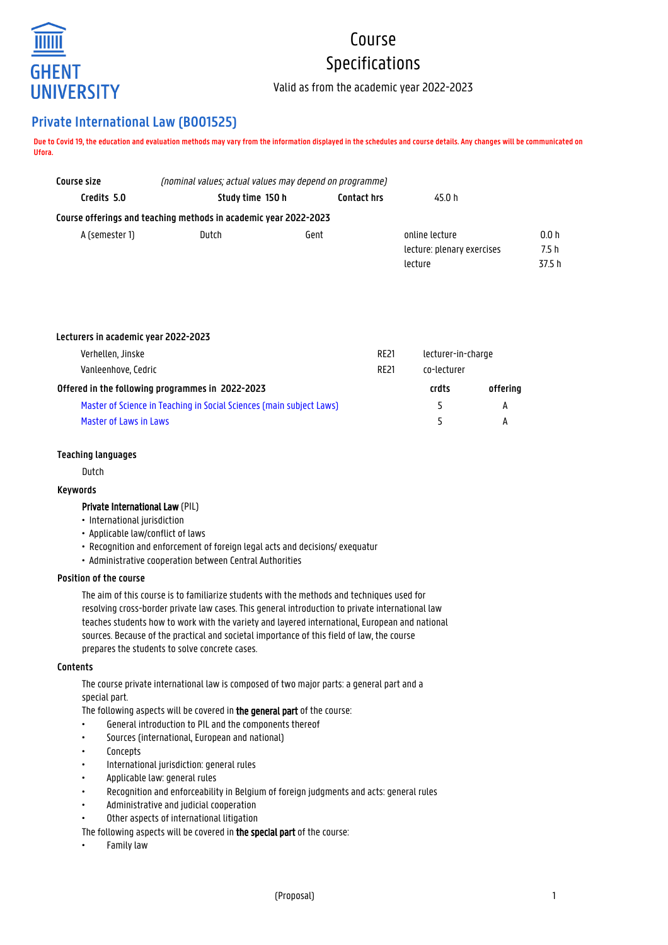

# Course Specifications

Valid as from the academic year 2022-2023

## **Private International Law (B001525)**

**Due to Covid 19, the education and evaluation methods may vary from the information displayed in the schedules and course details. Any changes will be communicated on Ufora.**

| Course size    | (nominal values; actual values may depend on programme)          |                              |                            |        |
|----------------|------------------------------------------------------------------|------------------------------|----------------------------|--------|
| Credits 5.0    | Study time 150 h                                                 | <b>Contact hrs</b><br>45.0 h |                            |        |
|                | Course offerings and teaching methods in academic year 2022-2023 |                              |                            |        |
| A (semester 1) | Dutch                                                            | Gent                         | online lecture             | 0.0 h  |
|                |                                                                  |                              | lecture: plenary exercises | 7.5 h  |
|                |                                                                  |                              | lecture                    | 37.5 h |

| Lecturers in academic year 2022-2023                                 |             |                    |          |
|----------------------------------------------------------------------|-------------|--------------------|----------|
| Verhellen, Jinske                                                    | <b>RE21</b> | lecturer-in-charge |          |
| Vanleenhove, Cedric<br><b>RE21</b>                                   |             | co-lecturer        |          |
| Offered in the following programmes in 2022-2023                     |             | crdts              | offering |
| Master of Science in Teaching in Social Sciences (main subject Laws) |             | 5                  | А        |
| Master of Laws in Laws                                               |             | 5                  | А        |

## **Teaching languages**

Dutch

## **Keywords**

#### Private International Law (PIL)

- International jurisdiction
- Applicable law/conflict of laws
- Recognition and enforcement of foreign legal acts and decisions/ exequatur
- Administrative cooperation between Central Authorities

#### **Position of the course**

The aim of this course is to familiarize students with the methods and techniques used for resolving cross-border private law cases. This general introduction to private international law teaches students how to work with the variety and layered international, European and national sources. Because of the practical and societal importance of this field of law, the course prepares the students to solve concrete cases.

#### **Contents**

The course private international law is composed of two major parts: a general part and a special part.

The following aspects will be covered in the general part of the course:

- General introduction to PIL and the components thereof
- Sources (international, European and national)
- Concepts
- International jurisdiction: general rules
- Applicable law: general rules
- Recognition and enforceability in Belgium of foreign judgments and acts: general rules
- Administrative and judicial cooperation
- Other aspects of international litigation

The following aspects will be covered in the special part of the course:

• Family law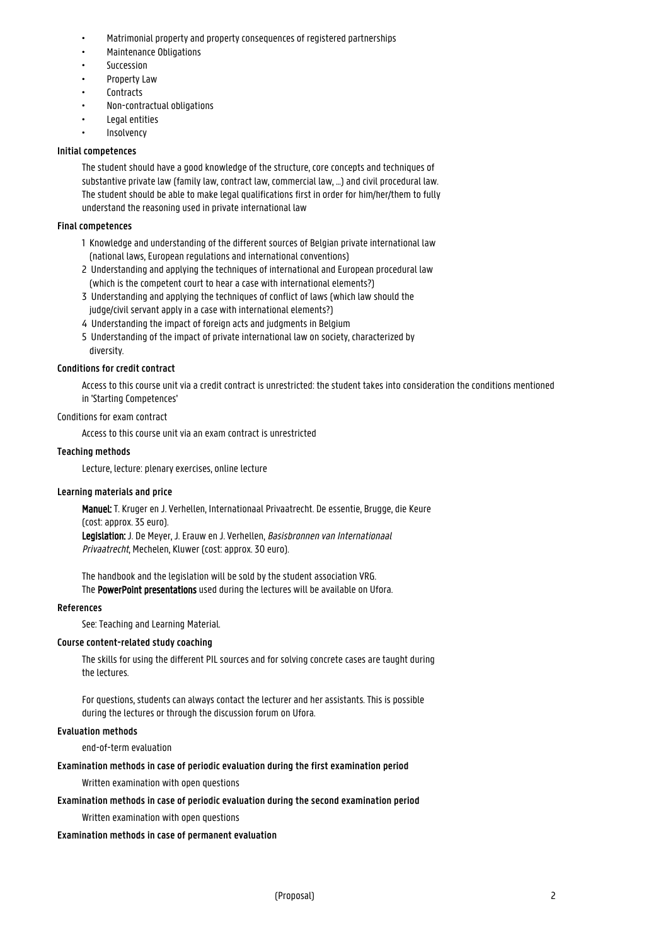- Matrimonial property and property consequences of registered partnerships
- Maintenance Obligations
- Succession
- Property Law
- Contracts
- Non-contractual obligations
- Legal entities
- Insolvency

## **Initial competences**

The student should have a good knowledge of the structure, core concepts and techniques of substantive private law (family law, contract law, commercial law, ...) and civil procedural law. The student should be able to make legal qualifications first in order for him/her/them to fully understand the reasoning used in private international law

## **Final competences**

- 1 Knowledge and understanding of the different sources of Belgian private international law 1 (national laws, European regulations and international conventions)
- 2 Understanding and applying the techniques of international and European procedural law (which is the competent court to hear a case with international elements?)
- 3 Understanding and applying the techniques of conflict of laws (which law should the judge/civil servant apply in a case with international elements?)
- 4 Understanding the impact of foreign acts and judgments in Belgium
- 5 Understanding of the impact of private international law on society, characterized by diversity.

## **Conditions for credit contract**

Access to this course unit via a credit contract is unrestricted: the student takes into consideration the conditions mentioned in 'Starting Competences'

## Conditions for exam contract

Access to this course unit via an exam contract is unrestricted

## **Teaching methods**

Lecture, lecture: plenary exercises, online lecture

## **Learning materials and price**

Manuel: T. Kruger en J. Verhellen, Internationaal Privaatrecht. De essentie, Brugge, die Keure (cost: approx. 35 euro). Legislation: J. De Meyer, J. Erauw en J. Verhellen, Basisbronnen van Internationaal Privaatrecht, Mechelen, Kluwer (cost: approx. 30 euro).

The handbook and the legislation will be sold by the student association VRG. The PowerPoint presentations used during the lectures will be available on Ufora.

## **References**

See: Teaching and Learning Material.

## **Course content-related study coaching**

The skills for using the different PIL sources and for solving concrete cases are taught during the lectures.

For questions, students can always contact the lecturer and her assistants. This is possible during the lectures or through the discussion forum on Ufora.

## **Evaluation methods**

end-of-term evaluation

## **Examination methods in case of periodic evaluation during the first examination period**

Written examination with open questions

## **Examination methods in case of periodic evaluation during the second examination period**

Written examination with open questions

## **Examination methods in case of permanent evaluation**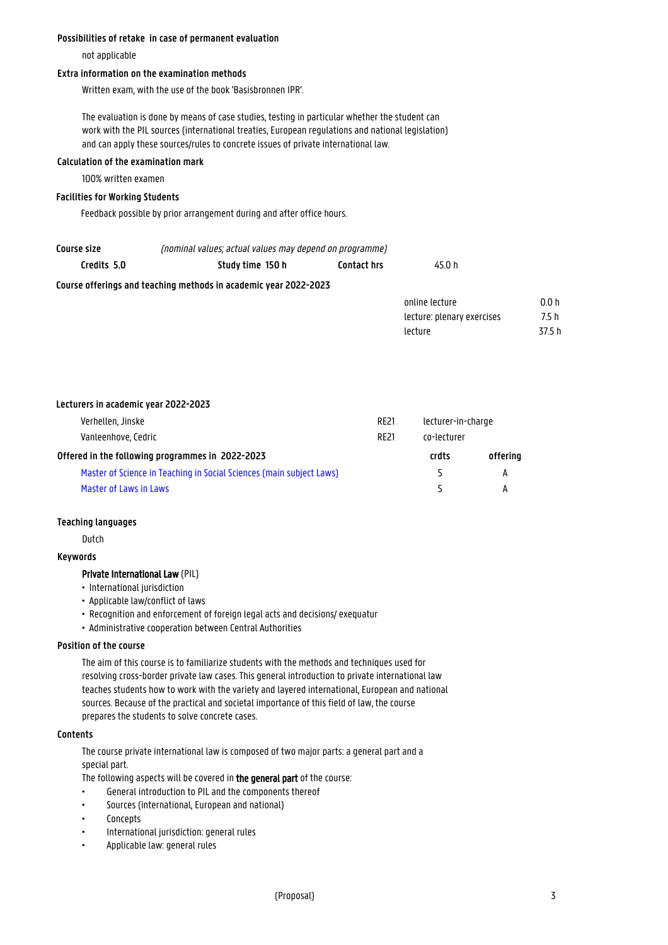#### **Possibilities of retake in case of permanent evaluation**

not applicable

## **Extra information on the examination methods**

Written exam, with the use of the book 'Basisbronnen IPR'.

The evaluation is done by means of case studies, testing in particular whether the student can work with the PIL sources (international treaties, European regulations and national legislation) and can apply these sources/rules to concrete issues of private international law.

## **Calculation of the examination mark**

100% written examen

## **Facilities for Working Students**

Feedback possible by prior arrangement during and after office hours.

| (nominal values; actual values may depend on programme)<br>Course size |                                                                  |                    |                            |        |
|------------------------------------------------------------------------|------------------------------------------------------------------|--------------------|----------------------------|--------|
| Credits 5.0                                                            | Study time 150 h                                                 | <b>Contact hrs</b> | 45.0 h                     |        |
|                                                                        | Course offerings and teaching methods in academic year 2022-2023 |                    |                            |        |
|                                                                        |                                                                  |                    | online lecture             | 0.0h   |
|                                                                        |                                                                  |                    | lecture: plenary exercises | 7.5 h  |
|                                                                        |                                                                  |                    | lecture                    | 37.5 h |

#### **Lecturers in academic year 2022-2023**

| Verhellen, Jinske                                                    | RE21        | lecturer-in-charge       |          |
|----------------------------------------------------------------------|-------------|--------------------------|----------|
| Vanleenhove, Cedric                                                  | <b>RE21</b> | co-lecturer              |          |
| Offered in the following programmes in 2022-2023                     |             | crdts                    | offering |
| Master of Science in Teaching in Social Sciences (main subject Laws) |             | $\overline{\phantom{a}}$ | A        |
| Master of Laws in Laws                                               |             |                          |          |

#### **Teaching languages**

Dutch

#### **Keywords**

## Private International Law (PIL)

- International jurisdiction
- Applicable law/conflict of laws
- Recognition and enforcement of foreign legal acts and decisions/ exequatur
- Administrative cooperation between Central Authorities

## **Position of the course**

The aim of this course is to familiarize students with the methods and techniques used for resolving cross-border private law cases. This general introduction to private international law teaches students how to work with the variety and layered international, European and national sources. Because of the practical and societal importance of this field of law, the course prepares the students to solve concrete cases.

## **Contents**

The course private international law is composed of two major parts: a general part and a special part.

The following aspects will be covered in the general part of the course:

- General introduction to PIL and the components thereof
- Sources (international, European and national)
- Concepts
- International jurisdiction: general rules
- Applicable law: general rules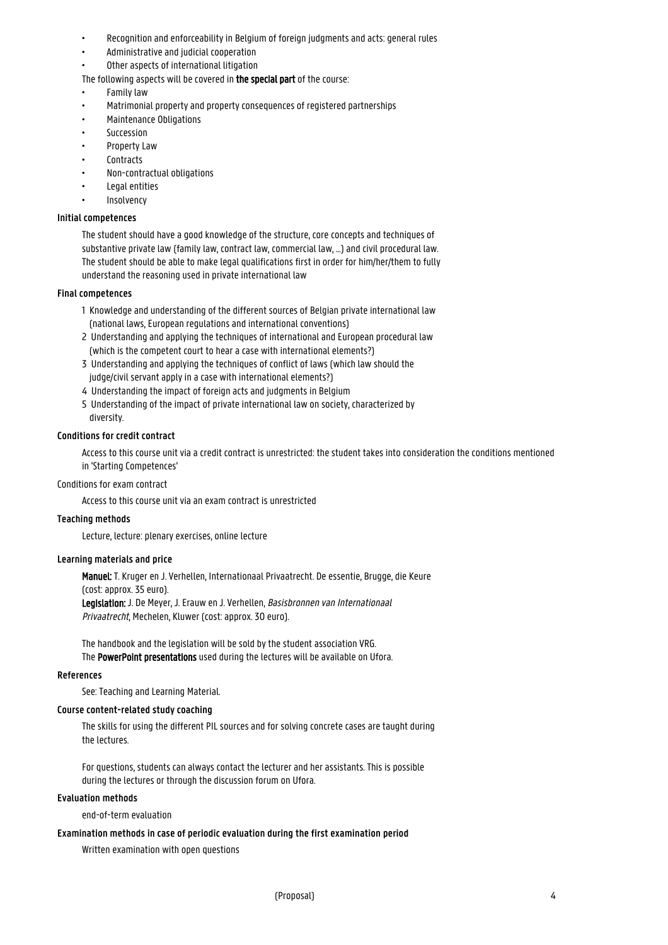- Recognition and enforceability in Belgium of foreign judgments and acts: general rules
- Administrative and judicial cooperation
- Other aspects of international litigation
- The following aspects will be covered in the special part of the course:
- Family law
- Matrimonial property and property consequences of registered partnerships
- Maintenance Obligations
- Succession
- Property Law
- Contracts
- Non-contractual obligations
- Legal entities
- Insolvency

#### **Initial competences**

The student should have a good knowledge of the structure, core concepts and techniques of substantive private law (family law, contract law, commercial law, ...) and civil procedural law. The student should be able to make legal qualifications first in order for him/her/them to fully understand the reasoning used in private international law

#### **Final competences**

- 1 Knowledge and understanding of the different sources of Belgian private international law 1 (national laws, European regulations and international conventions)
- 2 Understanding and applying the techniques of international and European procedural law (which is the competent court to hear a case with international elements?)
- 3 Understanding and applying the techniques of conflict of laws (which law should the judge/civil servant apply in a case with international elements?)
- 4 Understanding the impact of foreign acts and judgments in Belgium
- 5 Understanding of the impact of private international law on society, characterized by diversity.

## **Conditions for credit contract**

Access to this course unit via a credit contract is unrestricted: the student takes into consideration the conditions mentioned in 'Starting Competences'

#### Conditions for exam contract

Access to this course unit via an exam contract is unrestricted

#### **Teaching methods**

Lecture, lecture: plenary exercises, online lecture

#### **Learning materials and price**

Manuel: T. Kruger en J. Verhellen, Internationaal Privaatrecht. De essentie, Brugge, die Keure (cost: approx. 35 euro).

Legislation: J. De Meyer, J. Erauw en J. Verhellen, Basisbronnen van Internationaal Privaatrecht, Mechelen, Kluwer (cost: approx. 30 euro).

The handbook and the legislation will be sold by the student association VRG. The PowerPoint presentations used during the lectures will be available on Ufora.

#### **References**

See: Teaching and Learning Material.

#### **Course content-related study coaching**

The skills for using the different PIL sources and for solving concrete cases are taught during the lectures.

For questions, students can always contact the lecturer and her assistants. This is possible during the lectures or through the discussion forum on Ufora.

#### **Evaluation methods**

end-of-term evaluation

#### **Examination methods in case of periodic evaluation during the first examination period**

Written examination with open questions